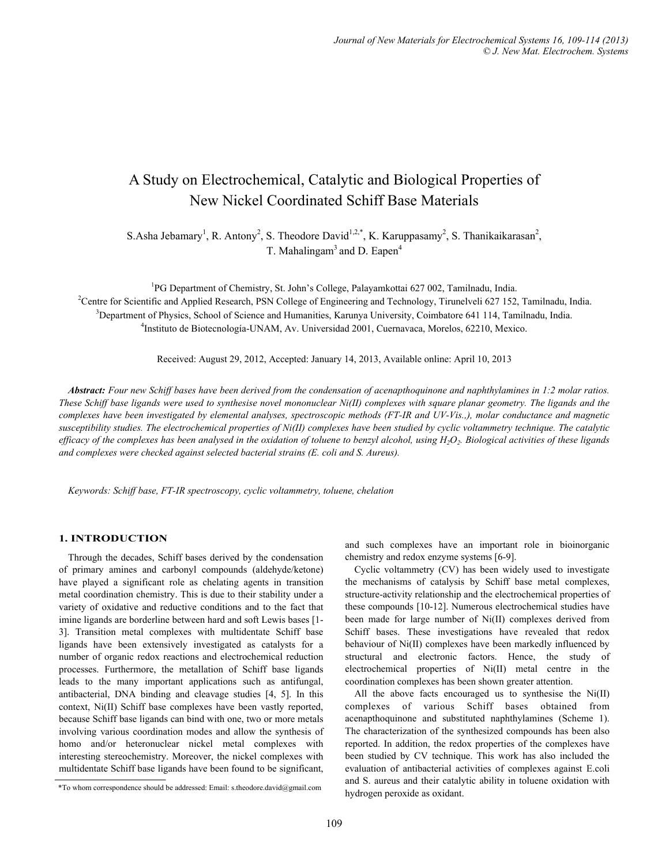# A Study on Electrochemical, Catalytic and Biological Properties of New Nickel Coordinated Schiff Base Materials

S.Asha Jebamary<sup>1</sup>, R. Antony<sup>2</sup>, S. Theodore David<sup>1,2,\*</sup>, K. Karuppasamy<sup>2</sup>, S. Thanikaikarasan<sup>2</sup>, T. Mahalingam<sup>3</sup> and D. Eapen<sup>4</sup>

<sup>1</sup>PG Department of Chemistry, St. John's College, Palayamkottai 627 002, Tamilnadu, India. <sup>2</sup>Centre for Scientific and Applied Research, PSN College of Engineering and Technology, Tirunelveli 627 152, Tamilnadu, India.  ${}^{3}$ Department of Physics, School of Science and Humanities, Karunya University, Coimbatore 641 114, Tamilnadu, India. Instituto de Biotecnología-UNAM, Av. Universidad 2001, Cuernavaca, Morelos, 62210, Mexico.

Received: August 29, 2012, Accepted: January 14, 2013, Available online: April 10, 2013

*Abstract: Four new Schiff bases have been derived from the condensation of acenapthoquinone and naphthylamines in 1:2 molar ratios. These Schiff base ligands were used to synthesise novel mononuclear Ni(II) complexes with square planar geometry. The ligands and the complexes have been investigated by elemental analyses, spectroscopic methods (FT-IR and UV-Vis.,), molar conductance and magnetic susceptibility studies. The electrochemical properties of Ni(II) complexes have been studied by cyclic voltammetry technique. The catalytic efficacy of the complexes has been analysed in the oxidation of toluene to benzyl alcohol, using H<sub>2</sub>O<sub>2</sub>. Biological activities of these ligands and complexes were checked against selected bacterial strains (E. coli and S. Aureus).* 

*Keywords: Schiff base, FT-IR spectroscopy, cyclic voltammetry, toluene, chelation* 

# **1. INTRODUCTION**

Through the decades, Schiff bases derived by the condensation of primary amines and carbonyl compounds (aldehyde/ketone) have played a significant role as chelating agents in transition metal coordination chemistry. This is due to their stability under a variety of oxidative and reductive conditions and to the fact that imine ligands are borderline between hard and soft Lewis bases [1- 3]. Transition metal complexes with multidentate Schiff base ligands have been extensively investigated as catalysts for a number of organic redox reactions and electrochemical reduction processes. Furthermore, the metallation of Schiff base ligands leads to the many important applications such as antifungal, antibacterial, DNA binding and cleavage studies [4, 5]. In this context, Ni(II) Schiff base complexes have been vastly reported, because Schiff base ligands can bind with one, two or more metals involving various coordination modes and allow the synthesis of homo and/or heteronuclear nickel metal complexes with interesting stereochemistry. Moreover, the nickel complexes with multidentate Schiff base ligands have been found to be significant,

and such complexes have an important role in bioinorganic chemistry and redox enzyme systems [6-9].

Cyclic voltammetry (CV) has been widely used to investigate the mechanisms of catalysis by Schiff base metal complexes, structure-activity relationship and the electrochemical properties of these compounds [10-12]. Numerous electrochemical studies have been made for large number of Ni(II) complexes derived from Schiff bases. These investigations have revealed that redox behaviour of Ni(II) complexes have been markedly influenced by structural and electronic factors. Hence, the study of electrochemical properties of Ni(II) metal centre in the coordination complexes has been shown greater attention.

All the above facts encouraged us to synthesise the Ni(II) complexes of various Schiff bases obtained from acenapthoquinone and substituted naphthylamines (Scheme 1). The characterization of the synthesized compounds has been also reported. In addition, the redox properties of the complexes have been studied by CV technique. This work has also included the evaluation of antibacterial activities of complexes against E.coli and S. aureus and their catalytic ability in toluene oxidation with

hydrogen peroxide as oxidant. \*To whom correspondence should be addressed: Email: s.theodore.david@gmail.com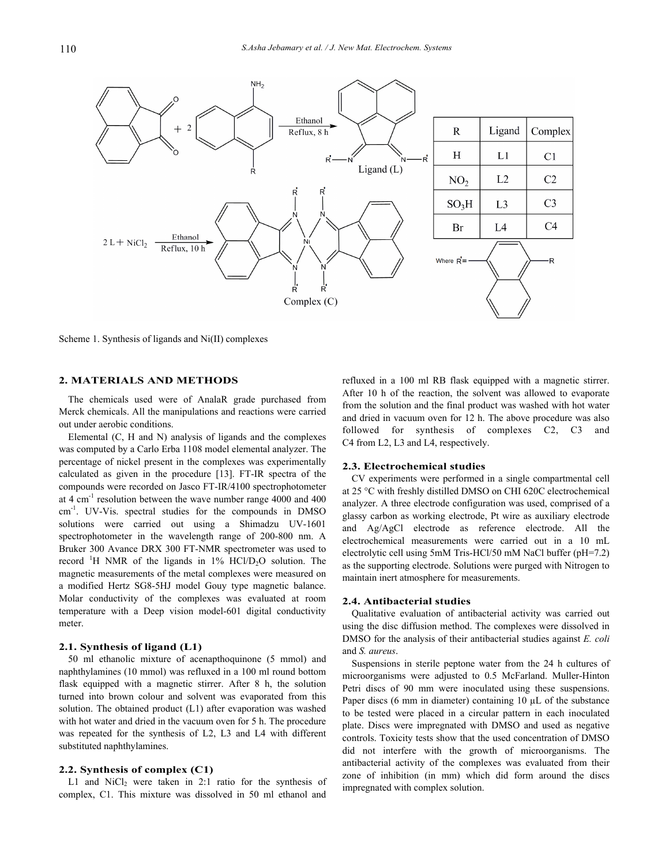

Scheme 1. Synthesis of ligands and Ni(II) complexes

## **2. MATERIALS AND METHODS**

The chemicals used were of AnalaR grade purchased from Merck chemicals. All the manipulations and reactions were carried out under aerobic conditions.

Elemental (C, H and N) analysis of ligands and the complexes was computed by a Carlo Erba 1108 model elemental analyzer. The percentage of nickel present in the complexes was experimentally calculated as given in the procedure [13]. FT-IR spectra of the compounds were recorded on Jasco FT-IR/4100 spectrophotometer at 4 cm-1 resolution between the wave number range 4000 and 400 cm-1. UV-Vis. spectral studies for the compounds in DMSO solutions were carried out using a Shimadzu UV-1601 spectrophotometer in the wavelength range of 200-800 nm. A Bruker 300 Avance DRX 300 FT-NMR spectrometer was used to record <sup>1</sup>H NMR of the ligands in  $1\%$  HCl/D<sub>2</sub>O solution. The magnetic measurements of the metal complexes were measured on a modified Hertz SG8-5HJ model Gouy type magnetic balance. Molar conductivity of the complexes was evaluated at room temperature with a Deep vision model-601 digital conductivity meter.

## **2.1. Synthesis of ligand (L1)**

50 ml ethanolic mixture of acenapthoquinone (5 mmol) and naphthylamines (10 mmol) was refluxed in a 100 ml round bottom flask equipped with a magnetic stirrer. After 8 h, the solution turned into brown colour and solvent was evaporated from this solution. The obtained product (L1) after evaporation was washed with hot water and dried in the vacuum oven for 5 h. The procedure was repeated for the synthesis of L2, L3 and L4 with different substituted naphthylamines.

# **2.2. Synthesis of complex (C1)**

L1 and  $NiCl<sub>2</sub>$  were taken in 2:1 ratio for the synthesis of complex, C1. This mixture was dissolved in 50 ml ethanol and

refluxed in a 100 ml RB flask equipped with a magnetic stirrer. After 10 h of the reaction, the solvent was allowed to evaporate from the solution and the final product was washed with hot water and dried in vacuum oven for 12 h. The above procedure was also followed for synthesis of complexes C2, C3 and C4 from L2, L3 and L4, respectively.

### **2.3. Electrochemical studies**

CV experiments were performed in a single compartmental cell at 25 °C with freshly distilled DMSO on CHI 620C electrochemical analyzer. A three electrode configuration was used, comprised of a glassy carbon as working electrode, Pt wire as auxiliary electrode and Ag/AgCl electrode as reference electrode. All the electrochemical measurements were carried out in a 10 mL electrolytic cell using 5mM Tris-HCl/50 mM NaCl buffer (pH=7.2) as the supporting electrode. Solutions were purged with Nitrogen to maintain inert atmosphere for measurements.

### **2.4. Antibacterial studies**

Qualitative evaluation of antibacterial activity was carried out using the disc diffusion method. The complexes were dissolved in DMSO for the analysis of their antibacterial studies against *E. coli* and *S. aureus*.

Suspensions in sterile peptone water from the 24 h cultures of microorganisms were adjusted to 0.5 McFarland. Muller-Hinton Petri discs of 90 mm were inoculated using these suspensions. Paper discs (6 mm in diameter) containing 10  $\mu$ L of the substance to be tested were placed in a circular pattern in each inoculated plate. Discs were impregnated with DMSO and used as negative controls. Toxicity tests show that the used concentration of DMSO did not interfere with the growth of microorganisms. The antibacterial activity of the complexes was evaluated from their zone of inhibition (in mm) which did form around the discs impregnated with complex solution.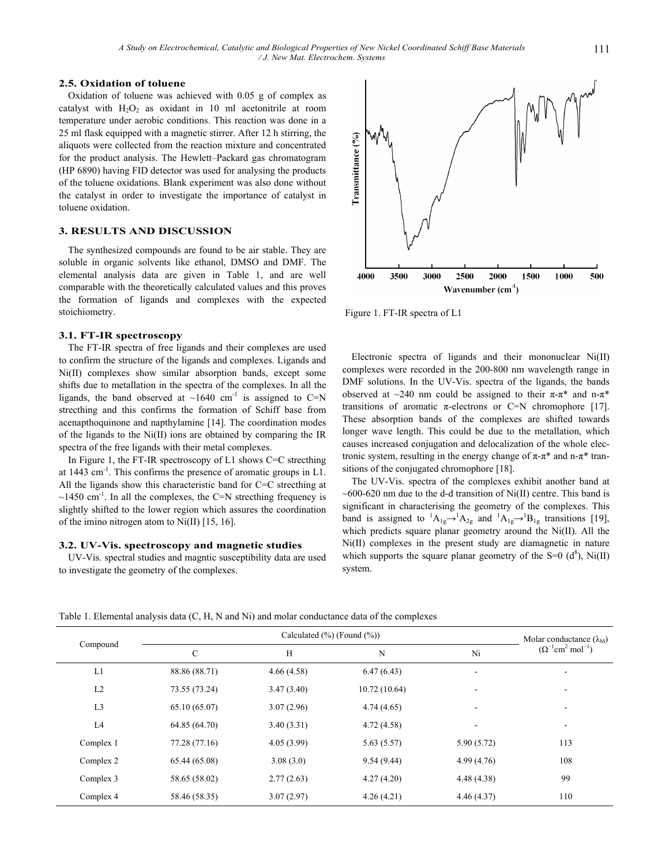## **2.5. Oxidation of toluene**

Oxidation of toluene was achieved with 0.05 g of complex as catalyst with  $H_2O_2$  as oxidant in 10 ml acetonitrile at room temperature under aerobic conditions. This reaction was done in a 25 ml flask equipped with a magnetic stirrer. After 12 h stirring, the aliquots were collected from the reaction mixture and concentrated for the product analysis. The Hewlett–Packard gas chromatogram (HP 6890) having FID detector was used for analysing the products of the toluene oxidations. Blank experiment was also done without the catalyst in order to investigate the importance of catalyst in toluene oxidation.

# **3. RESULTS AND DISCUSSION**

The synthesized compounds are found to be air stable. They are soluble in organic solvents like ethanol, DMSO and DMF. The elemental analysis data are given in Table 1, and are well comparable with the theoretically calculated values and this proves the formation of ligands and complexes with the expected stoichiometry.

## **3.1. FT-IR spectroscopy**

The FT-IR spectra of free ligands and their complexes are used to confirm the structure of the ligands and complexes. Ligands and Ni(II) complexes show similar absorption bands, except some shifts due to metallation in the spectra of the complexes. In all the ligands, the band observed at  $\sim 1640$  cm<sup>-1</sup> is assigned to C=N strecthing and this confirms the formation of Schiff base from acenapthoquinone and napthylamine [14]. The coordination modes of the ligands to the Ni(II) ions are obtained by comparing the IR spectra of the free ligands with their metal complexes.

In Figure 1, the FT-IR spectroscopy of L1 shows C=C strecthing at 1443 cm-1. This confirms the presence of aromatic groups in L1. All the ligands show this characteristic band for C=C strecthing at  $\sim$ 1450 cm<sup>-1</sup>. In all the complexes, the C=N strecthing frequency is slightly shifted to the lower region which assures the coordination of the imino nitrogen atom to Ni(II) [15, 16].

## **3.2. UV-Vis. spectroscopy and magnetic studies**

UV-Vis. spectral studies and magntic susceptibility data are used to investigate the geometry of the complexes.



Figure 1. FT-IR spectra of L1

Electronic spectra of ligands and their mononuclear Ni(II) complexes were recorded in the 200-800 nm wavelength range in DMF solutions. In the UV-Vis. spectra of the ligands, the bands observed at  $\sim$ 240 nm could be assigned to their π-π\* and n-π\* transitions of aromatic π-electrons or C=N chromophore [17]. These absorption bands of the complexes are shifted towards longer wave length. This could be due to the metallation, which causes increased conjugation and delocalization of the whole electronic system, resulting in the energy change of  $π$ -π<sup>\*</sup> and n-π<sup>\*</sup> transitions of the conjugated chromophore [18].

The UV-Vis. spectra of the complexes exhibit another band at  $\sim$  600-620 nm due to the d-d transition of Ni(II) centre. This band is significant in characterising the geometry of the complexes. This band is assigned to  ${}^{1}A_{1g} \rightarrow {}^{1}A_{2g}$  and  ${}^{1}A_{1g} \rightarrow {}^{1}B_{1g}$  transitions [19], which predicts square planar geometry around the Ni(II). All the Ni(II) complexes in the present study are diamagnetic in nature which supports the square planar geometry of the  $S=0$  (d<sup>8</sup>), Ni(II) system.

| Compound       |               | Molar conductance $(\lambda_M)$ |              |                          |                                                    |
|----------------|---------------|---------------------------------|--------------|--------------------------|----------------------------------------------------|
|                | $\mathcal{C}$ | H                               | $\mathbf N$  | Ni                       | $(\Omega^{-1}$ cm <sup>2</sup> mol <sup>-1</sup> ) |
| L1             | 88.86 (88.71) | 4.66(4.58)                      | 6.47(6.43)   | $\overline{\phantom{a}}$ |                                                    |
| L2             | 73.55 (73.24) | 3.47(3.40)                      | 10.72(10.64) | $\overline{\phantom{a}}$ |                                                    |
| L <sub>3</sub> | 65.10 (65.07) | 3.07(2.96)                      | 4.74(4.65)   | $\overline{\phantom{a}}$ |                                                    |
| L4             | 64.85 (64.70) | 3.40(3.31)                      | 4.72(4.58)   | ٠                        |                                                    |
| Complex 1      | 77.28 (77.16) | 4.05(3.99)                      | 5.63(5.57)   | 5.90(5.72)               | 113                                                |
| Complex 2      | 65.44 (65.08) | 3.08(3.0)                       | 9.54(9.44)   | 4.99(4.76)               | 108                                                |
| Complex 3      | 58.65 (58.02) | 2.77(2.63)                      | 4.27(4.20)   | 4.48(4.38)               | 99                                                 |
| Complex 4      | 58.46 (58.35) | 3.07(2.97)                      | 4.26(4.21)   | 4.46(4.37)               | 110                                                |

Table 1. Elemental analysis data (C, H, N and Ni) and molar conductance data of the complexes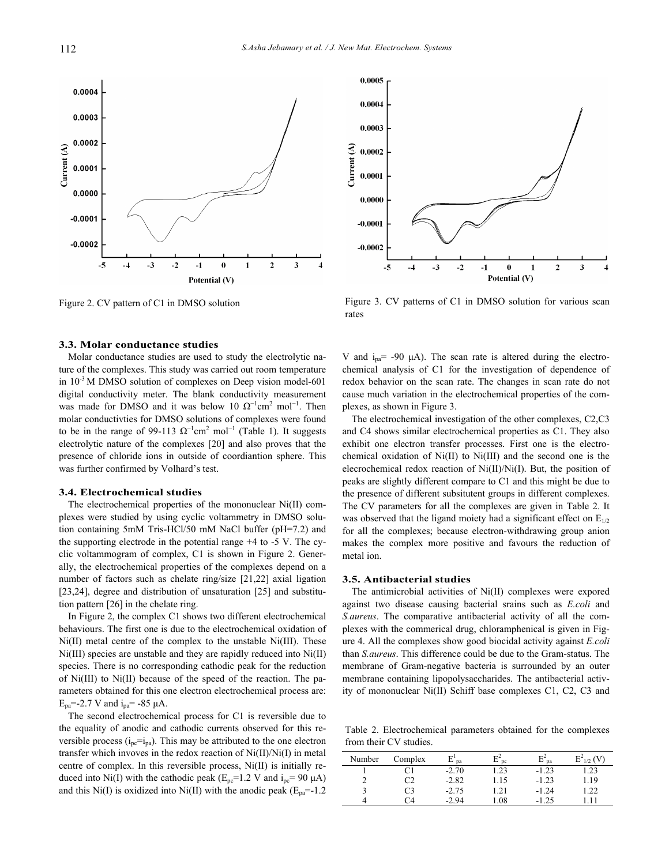

Figure 2. CV pattern of C1 in DMSO solution

#### **3.3. Molar conductance studies**

Molar conductance studies are used to study the electrolytic nature of the complexes. This study was carried out room temperature in  $10^{-3}$  M DMSO solution of complexes on Deep vision model-601 digital conductivity meter. The blank conductivity measurement was made for DMSO and it was below 10  $\Omega^{-1}$ cm<sup>2</sup> mol<sup>-1</sup>. Then molar conductivties for DMSO solutions of complexes were found to be in the range of 99-113  $\Omega^{-1}$ cm<sup>2</sup> mol<sup>-1</sup> (Table 1). It suggests electrolytic nature of the complexes [20] and also proves that the presence of chloride ions in outside of coordiantion sphere. This was further confirmed by Volhard's test.

#### **3.4. Electrochemical studies**

The electrochemical properties of the mononuclear Ni(II) complexes were studied by using cyclic voltammetry in DMSO solution containing 5mM Tris-HCl/50 mM NaCl buffer (pH=7.2) and the supporting electrode in the potential range +4 to -5 V. The cyclic voltammogram of complex, C1 is shown in Figure 2. Generally, the electrochemical properties of the complexes depend on a number of factors such as chelate ring/size [21,22] axial ligation [23,24], degree and distribution of unsaturation [25] and substitution pattern [26] in the chelate ring.

In Figure 2, the complex C1 shows two different electrochemical behaviours. The first one is due to the electrochemical oxidation of Ni(II) metal centre of the complex to the unstable Ni(III). These Ni(III) species are unstable and they are rapidly reduced into Ni(II) species. There is no corresponding cathodic peak for the reduction of Ni(III) to Ni(II) because of the speed of the reaction. The parameters obtained for this one electron electrochemical process are:  $E_{pa}$ =-2.7 V and  $i_{pa}$ = -85  $\mu$ A.

The second electrochemical process for C1 is reversible due to the equality of anodic and cathodic currents observed for this reversible process  $(i_{pc}=i_{pa})$ . This may be attributed to the one electron transfer which invoves in the redox reaction of Ni(II)/Ni(I) in metal centre of complex. In this reversible process, Ni(II) is initially reduced into Ni(I) with the cathodic peak ( $E_{pc}$ =1.2 V and  $i_{pc}$ = 90  $\mu$ A) and this Ni(I) is oxidized into Ni(II) with the anodic peak ( $E_{pa}$ =-1.2



Figure 3. CV patterns of C1 in DMSO solution for various scan rates

V and  $i_{pa}$  = -90  $\mu$ A). The scan rate is altered during the electrochemical analysis of C1 for the investigation of dependence of redox behavior on the scan rate. The changes in scan rate do not cause much variation in the electrochemical properties of the complexes, as shown in Figure 3.

The electrochemical investigation of the other complexes, C2,C3 and C4 shows similar electrochemical properties as C1. They also exhibit one electron transfer processes. First one is the electrochemical oxidation of Ni(II) to Ni(III) and the second one is the elecrochemical redox reaction of Ni(II)/Ni(I). But, the position of peaks are slightly different compare to C1 and this might be due to the presence of different subsitutent groups in different complexes. The CV parameters for all the complexes are given in Table 2. It was observed that the ligand moiety had a significant effect on  $E_{1/2}$ for all the complexes; because electron-withdrawing group anion makes the complex more positive and favours the reduction of metal ion.

#### **3.5. Antibacterial studies**

The antimicrobial activities of Ni(II) complexes were expored against two disease causing bacterial srains such as *E.coli* and *S.aureus*. The comparative antibacterial activity of all the complexes with the commerical drug, chloramphenical is given in Figure 4. All the complexes show good biocidal activity against *E.coli*  than *S.aureus*. This difference could be due to the Gram-status. The membrane of Gram-negative bacteria is surrounded by an outer membrane containing lipopolysaccharides. The antibacterial activity of mononuclear Ni(II) Schiff base complexes C1, C2, C3 and

Table 2. Electrochemical parameters obtained for the complexes from their CV studies.

| Number | Complex | E<br>pa | <sub>pc</sub>   | $E^2$<br>pa | $\mathrm{E}^2$<br>$1/2$ $\Gamma$ |
|--------|---------|---------|-----------------|-------------|----------------------------------|
|        |         | $-2.70$ | $\overline{23}$ | $-1.23$     | .23                              |
|        | C2      | $-2.82$ | .15             | $-1.23$     | .19                              |
|        | CЗ      | $-2.75$ | .21             | $-1.24$     | .22                              |
|        | 74      | -2.94   | .08             | -1.25       |                                  |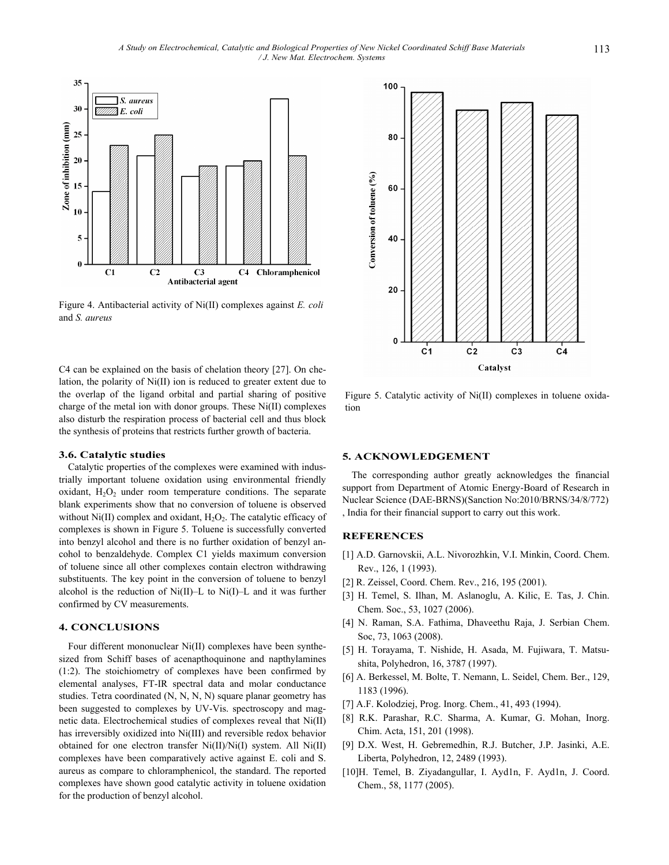100

80



Figure 4. Antibacterial activity of Ni(II) complexes against *E. coli* and *S. aureus* 

C4 can be explained on the basis of chelation theory [27]. On chelation, the polarity of Ni(II) ion is reduced to greater extent due to the overlap of the ligand orbital and partial sharing of positive charge of the metal ion with donor groups. These Ni(II) complexes also disturb the respiration process of bacterial cell and thus block the synthesis of proteins that restricts further growth of bacteria.

#### **3.6. Catalytic studies**

Catalytic properties of the complexes were examined with industrially important toluene oxidation using environmental friendly oxidant,  $H_2O_2$  under room temperature conditions. The separate blank experiments show that no conversion of toluene is observed without Ni(II) complex and oxidant,  $H_2O_2$ . The catalytic efficacy of complexes is shown in Figure 5. Toluene is successfully converted into benzyl alcohol and there is no further oxidation of benzyl ancohol to benzaldehyde. Complex C1 yields maximum conversion of toluene since all other complexes contain electron withdrawing substituents. The key point in the conversion of toluene to benzyl alcohol is the reduction of Ni(II)–L to Ni(I)–L and it was further confirmed by CV measurements.

### **4. CONCLUSIONS**

Four different mononuclear Ni(II) complexes have been synthesized from Schiff bases of acenapthoquinone and napthylamines (1:2). The stoichiometry of complexes have been confirmed by elemental analyses, FT-IR spectral data and molar conductance studies. Tetra coordinated (N, N, N, N) square planar geometry has been suggested to complexes by UV-Vis. spectroscopy and magnetic data. Electrochemical studies of complexes reveal that Ni(II) has irreversibly oxidized into Ni(III) and reversible redox behavior obtained for one electron transfer Ni(II)/Ni(I) system. All Ni(II) complexes have been comparatively active against E. coli and S. aureus as compare to chloramphenicol, the standard. The reported complexes have shown good catalytic activity in toluene oxidation for the production of benzyl alcohol.



Figure 5. Catalytic activity of Ni(II) complexes in toluene oxidation

## **5. ACKNOWLEDGEMENT**

The corresponding author greatly acknowledges the financial support from Department of Atomic Energy-Board of Research in Nuclear Science (DAE-BRNS)(Sanction No:2010/BRNS/34/8/772) , India for their financial support to carry out this work.

# **REFERENCES**

- [1] A.D. Garnovskii, A.L. Nivorozhkin, V.I. Minkin, Coord. Chem. Rev., 126, 1 (1993).
- [2] R. Zeissel, Coord. Chem. Rev., 216, 195 (2001).
- [3] H. Temel, S. Ilhan, M. Aslanoglu, A. Kilic, E. Tas, J. Chin. Chem. Soc., 53, 1027 (2006).
- [4] N. Raman, S.A. Fathima, Dhaveethu Raja, J. Serbian Chem. Soc, 73, 1063 (2008).
- [5] H. Torayama, T. Nishide, H. Asada, M. Fujiwara, T. Matsushita, Polyhedron, 16, 3787 (1997).
- [6] A. Berkessel, M. Bolte, T. Nemann, L. Seidel, Chem. Ber., 129, 1183 (1996).
- [7] A.F. Kolodziej, Prog. Inorg. Chem., 41, 493 (1994).
- [8] R.K. Parashar, R.C. Sharma, A. Kumar, G. Mohan, Inorg. Chim. Acta, 151, 201 (1998).
- [9] D.X. West, H. Gebremedhin, R.J. Butcher, J.P. Jasinki, A.E. Liberta, Polyhedron, 12, 2489 (1993).
- [10]H. Temel, B. Ziyadangullar, I. Ayd1n, F. Ayd1n, J. Coord. Chem., 58, 1177 (2005).